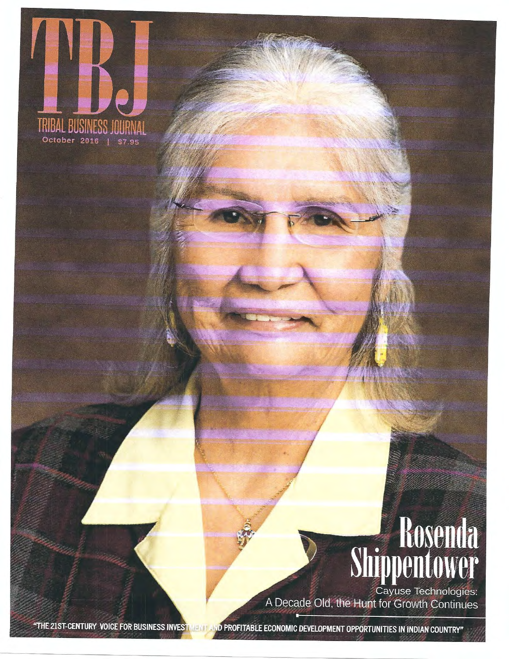

## Rosenda<br>Shippentower

Cayuse Technologies: A Decade Old, the Hunt for Growth Continues

AND PROFITABLE ECONOMIC DEVELOPMENT OPPORTUNITIES IN INDIAN COUNTRY" "THE 21ST-CENTURY VOICE FOR BUSINESS INVESTMENT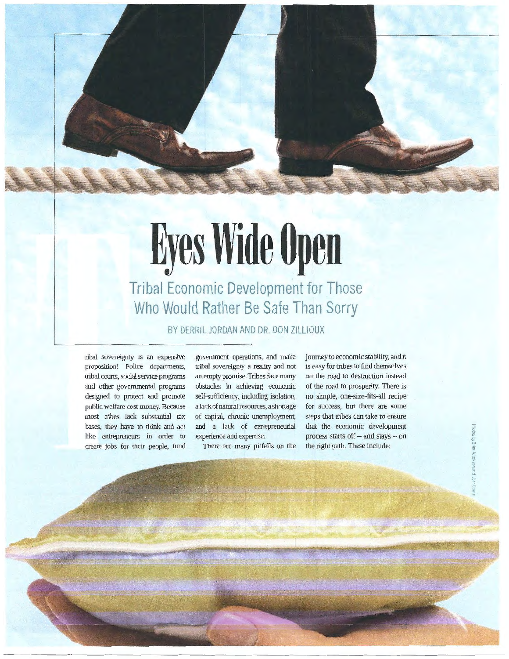## **Eyes Wide Open Tribal Economic Development for Those Who Would Rather Be Safe Than Sorry**

BY DERRIL JORDAN AND DR. DON ZILLIOUX

ribal sovereignty is an expensive proposition! Police departments, tribal courts, social service programs and other governmental programs designed to protect and promote public welfare cost money. Because most tribes lack substantial tax bases, they have to think and act like entrepreneurs in order to create jobs for their people, fund

government operations, and make tribal sovereignty a reality and not an empty promise. Tribes face many obstacles in achieving economic self-sufficiency, including isolation, a lack of natural resources, a shortage of capital, chronic unemployment, and a lack of entrepreneurial experience and expertise.

There are many pitfalls on the

journey to economic stability, and it is easy for tribes to find themselves on the road to destruction instead of the road to prosperity. There is no simple, one-size-fits-all recipe for success, but there are some steps that tribes can take to ensure that the economic development process starts off  $-$  and stays  $-$  on the right path. These include: